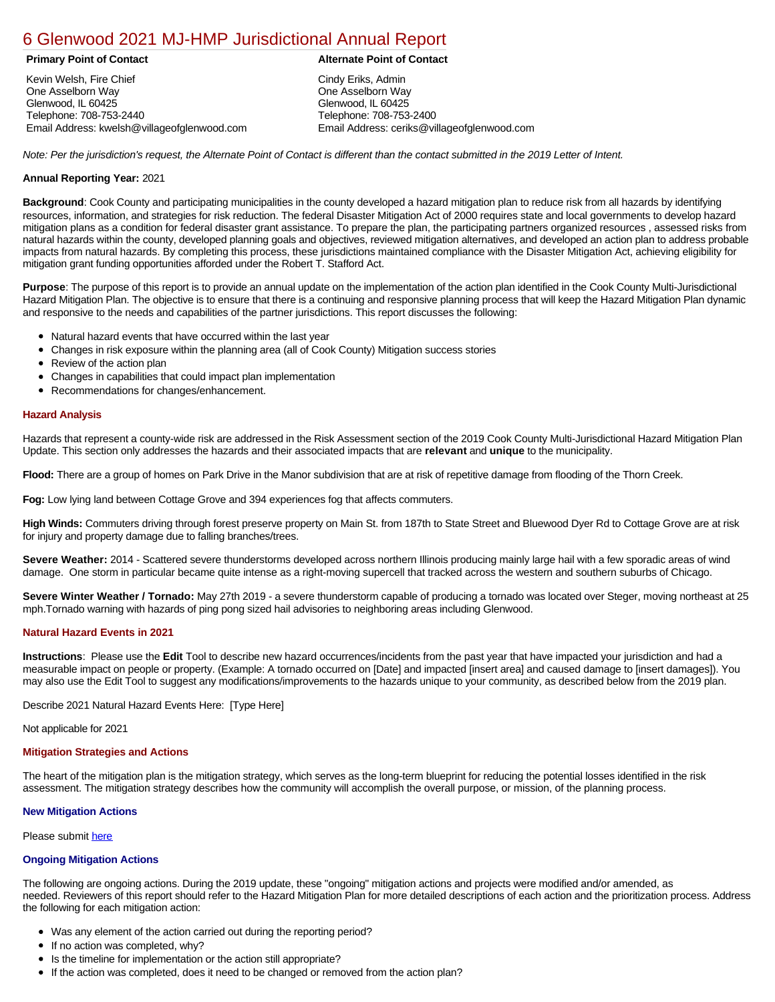### [6 Glenwood 2021 MJ-HMP Jurisdictional Annual Report](https://glenwood.isc-cemp.com/Cemp/Details?id=8322835)

Kevin Welsh, Fire Chief One Asselborn Way Glenwood, IL 60425 Telephone: 708-753-2440 Email Address: kwelsh@villageofglenwood.com

#### **Primary Point of Contact Alternate Point of Contact**

Cindy Eriks, Admin One Asselborn Way Glenwood, IL 60425 Telephone: 708-753-2400 Email Address: ceriks@villageofglenwood.com

*Note: Per the jurisdiction's request, the Alternate Point of Contact is different than the contact submitted in the 2019 Letter of Intent.*

#### **Annual Reporting Year:** 2021

**Background**: Cook County and participating municipalities in the county developed a hazard mitigation plan to reduce risk from all hazards by identifying resources, information, and strategies for risk reduction. The federal Disaster Mitigation Act of 2000 requires state and local governments to develop hazard mitigation plans as a condition for federal disaster grant assistance. To prepare the plan, the participating partners organized resources , assessed risks from natural hazards within the county, developed planning goals and objectives, reviewed mitigation alternatives, and developed an action plan to address probable impacts from natural hazards. By completing this process, these jurisdictions maintained compliance with the Disaster Mitigation Act, achieving eligibility for mitigation grant funding opportunities afforded under the Robert T. Stafford Act.

**Purpose**: The purpose of this report is to provide an annual update on the implementation of the action plan identified in the Cook County Multi-Jurisdictional Hazard Mitigation Plan. The objective is to ensure that there is a continuing and responsive planning process that will keep the Hazard Mitigation Plan dynamic and responsive to the needs and capabilities of the partner jurisdictions. This report discusses the following:

- Natural hazard events that have occurred within the last year
- Changes in risk exposure within the planning area (all of Cook County) Mitigation success stories
- Review of the action plan  $\bullet$
- Changes in capabilities that could impact plan implementation
- Recommendations for changes/enhancement.

#### **Hazard Analysis**

Hazards that represent a county-wide risk are addressed in the Risk Assessment section of the 2019 Cook County Multi-Jurisdictional Hazard Mitigation Plan Update. This section only addresses the hazards and their associated impacts that are **relevant** and **unique** to the municipality.

**Flood:** There are a group of homes on Park Drive in the Manor subdivision that are at risk of repetitive damage from flooding of the Thorn Creek.

**Fog:** Low lying land between Cottage Grove and 394 experiences fog that affects commuters.

**High Winds:** Commuters driving through forest preserve property on Main St. from 187th to State Street and Bluewood Dyer Rd to Cottage Grove are at risk for injury and property damage due to falling branches/trees.

**Severe Weather:** 2014 - Scattered severe thunderstorms developed across northern Illinois producing mainly large hail with a few sporadic areas of wind damage. One storm in particular became quite intense as a right-moving supercell that tracked across the western and southern suburbs of Chicago.

**Severe Winter Weather / Tornado:** May 27th 2019 - a severe thunderstorm capable of producing a tornado was located over Steger, moving northeast at 25 mph.Tornado warning with hazards of ping pong sized hail advisories to neighboring areas including Glenwood.

### **Natural Hazard Events in 2021**

**Instructions**: Please use the **Edit** Tool to describe new hazard occurrences/incidents from the past year that have impacted your jurisdiction and had a measurable impact on people or property. (Example: A tornado occurred on [Date] and impacted [insert area] and caused damage to [insert damages]). You may also use the Edit Tool to suggest any modifications/improvements to the hazards unique to your community, as described below from the 2019 plan.

Describe 2021 Natural Hazard Events Here: [Type Here]

Not applicable for 2021

#### **Mitigation Strategies and Actions**

The heart of the mitigation plan is the mitigation strategy, which serves as the long-term blueprint for reducing the potential losses identified in the risk assessment. The mitigation strategy describes how the community will accomplish the overall purpose, or mission, of the planning process.

#### **New Mitigation Actions**

Please submit [here](https://integratedsolutions.wufoo.com/forms/mg21jvf0jn639o/)

#### **Ongoing Mitigation Actions**

The following are ongoing actions. During the 2019 update, these "ongoing" mitigation actions and projects were modified and/or amended, as needed. Reviewers of this report should refer to the Hazard Mitigation Plan for more detailed descriptions of each action and the prioritization process. Address the following for each mitigation action:

- Was any element of the action carried out during the reporting period?
- If no action was completed, why?
- Is the timeline for implementation or the action still appropriate?
- If the action was completed, does it need to be changed or removed from the action plan?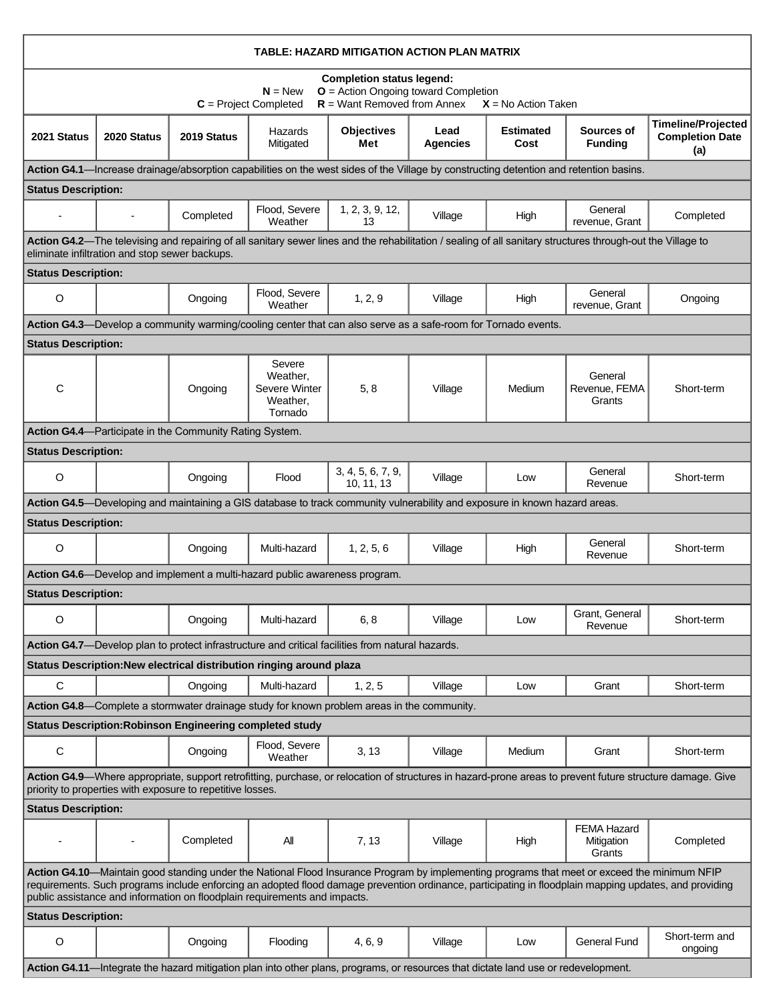| TABLE: HAZARD MITIGATION ACTION PLAN MATRIX                                                                                                                                                                                                                                                                                                                                         |                                                |                                                                 |                                                                            |                                                                                                                                    |                         |                          |                                                                                                                                                             |                                                                                                                                                           |
|-------------------------------------------------------------------------------------------------------------------------------------------------------------------------------------------------------------------------------------------------------------------------------------------------------------------------------------------------------------------------------------|------------------------------------------------|-----------------------------------------------------------------|----------------------------------------------------------------------------|------------------------------------------------------------------------------------------------------------------------------------|-------------------------|--------------------------|-------------------------------------------------------------------------------------------------------------------------------------------------------------|-----------------------------------------------------------------------------------------------------------------------------------------------------------|
| <b>Completion status legend:</b><br>$O =$ Action Ongoing toward Completion<br>$N = New$<br>$R =$ Want Removed from Annex<br>$C = Project Completed$<br>$X = No$ Action Taken                                                                                                                                                                                                        |                                                |                                                                 |                                                                            |                                                                                                                                    |                         |                          |                                                                                                                                                             |                                                                                                                                                           |
| 2021 Status                                                                                                                                                                                                                                                                                                                                                                         | 2020 Status                                    | 2019 Status                                                     | Hazards<br>Mitigated                                                       | <b>Objectives</b><br>Met                                                                                                           | Lead<br><b>Agencies</b> | <b>Estimated</b><br>Cost | Sources of<br><b>Funding</b>                                                                                                                                | <b>Timeline/Projected</b><br><b>Completion Date</b><br>(a)                                                                                                |
|                                                                                                                                                                                                                                                                                                                                                                                     |                                                |                                                                 |                                                                            |                                                                                                                                    |                         |                          | Action G4.1—Increase drainage/absorption capabilities on the west sides of the Village by constructing detention and retention basins.                      |                                                                                                                                                           |
| <b>Status Description:</b>                                                                                                                                                                                                                                                                                                                                                          |                                                |                                                                 |                                                                            |                                                                                                                                    |                         |                          |                                                                                                                                                             |                                                                                                                                                           |
|                                                                                                                                                                                                                                                                                                                                                                                     | $\blacksquare$                                 | Completed                                                       | Flood, Severe<br>Weather                                                   | 1, 2, 3, 9, 12,<br>13                                                                                                              | Village                 | High                     | General<br>revenue, Grant                                                                                                                                   | Completed                                                                                                                                                 |
|                                                                                                                                                                                                                                                                                                                                                                                     | eliminate infiltration and stop sewer backups. |                                                                 |                                                                            |                                                                                                                                    |                         |                          | Action G4.2-The televising and repairing of all sanitary sewer lines and the rehabilitation / sealing of all sanitary structures through-out the Village to |                                                                                                                                                           |
| <b>Status Description:</b>                                                                                                                                                                                                                                                                                                                                                          |                                                |                                                                 |                                                                            |                                                                                                                                    |                         |                          |                                                                                                                                                             |                                                                                                                                                           |
| O                                                                                                                                                                                                                                                                                                                                                                                   |                                                | Ongoing                                                         | Flood, Severe<br>Weather                                                   | 1, 2, 9                                                                                                                            | Village                 | High                     | General<br>revenue, Grant                                                                                                                                   | Ongoing                                                                                                                                                   |
|                                                                                                                                                                                                                                                                                                                                                                                     |                                                |                                                                 |                                                                            | Action G4.3-Develop a community warming/cooling center that can also serve as a safe-room for Tornado events.                      |                         |                          |                                                                                                                                                             |                                                                                                                                                           |
| <b>Status Description:</b>                                                                                                                                                                                                                                                                                                                                                          |                                                |                                                                 |                                                                            |                                                                                                                                    |                         |                          |                                                                                                                                                             |                                                                                                                                                           |
| C                                                                                                                                                                                                                                                                                                                                                                                   |                                                | Ongoing                                                         | Severe<br>Weather.<br>Severe Winter<br>Weather,<br>Tornado                 | 5, 8                                                                                                                               | Village                 | Medium                   | General<br>Revenue, FEMA<br>Grants                                                                                                                          | Short-term                                                                                                                                                |
|                                                                                                                                                                                                                                                                                                                                                                                     |                                                | <b>Action G4.4</b> —Participate in the Community Rating System. |                                                                            |                                                                                                                                    |                         |                          |                                                                                                                                                             |                                                                                                                                                           |
| <b>Status Description:</b>                                                                                                                                                                                                                                                                                                                                                          |                                                |                                                                 |                                                                            |                                                                                                                                    |                         |                          |                                                                                                                                                             |                                                                                                                                                           |
| O                                                                                                                                                                                                                                                                                                                                                                                   |                                                | Ongoing                                                         | Flood                                                                      | 3, 4, 5, 6, 7, 9,<br>10, 11, 13                                                                                                    | Village                 | Low                      | General<br>Revenue                                                                                                                                          | Short-term                                                                                                                                                |
|                                                                                                                                                                                                                                                                                                                                                                                     |                                                |                                                                 |                                                                            | Action G4.5—Developing and maintaining a GIS database to track community vulnerability and exposure in known hazard areas.         |                         |                          |                                                                                                                                                             |                                                                                                                                                           |
| <b>Status Description:</b>                                                                                                                                                                                                                                                                                                                                                          |                                                |                                                                 |                                                                            |                                                                                                                                    |                         |                          |                                                                                                                                                             |                                                                                                                                                           |
| O                                                                                                                                                                                                                                                                                                                                                                                   |                                                | Ongoing                                                         | Multi-hazard                                                               | 1, 2, 5, 6                                                                                                                         | Village                 | High                     | General<br>Revenue                                                                                                                                          | Short-term                                                                                                                                                |
|                                                                                                                                                                                                                                                                                                                                                                                     |                                                |                                                                 | Action G4.6—Develop and implement a multi-hazard public awareness program. |                                                                                                                                    |                         |                          |                                                                                                                                                             |                                                                                                                                                           |
| <b>Status Description:</b>                                                                                                                                                                                                                                                                                                                                                          |                                                |                                                                 |                                                                            |                                                                                                                                    |                         |                          | Grant, General                                                                                                                                              |                                                                                                                                                           |
| O                                                                                                                                                                                                                                                                                                                                                                                   |                                                | Ongoing                                                         | Multi-hazard                                                               | 6, 8                                                                                                                               | Village                 | Low                      | Revenue                                                                                                                                                     | Short-term                                                                                                                                                |
|                                                                                                                                                                                                                                                                                                                                                                                     |                                                |                                                                 |                                                                            | Action G4.7—Develop plan to protect infrastructure and critical facilities from natural hazards.                                   |                         |                          |                                                                                                                                                             |                                                                                                                                                           |
|                                                                                                                                                                                                                                                                                                                                                                                     |                                                |                                                                 | Status Description: New electrical distribution ringing around plaza       |                                                                                                                                    |                         |                          |                                                                                                                                                             |                                                                                                                                                           |
| $\mathbf C$                                                                                                                                                                                                                                                                                                                                                                         |                                                | Ongoing                                                         | Multi-hazard                                                               | 1, 2, 5                                                                                                                            | Village                 | Low                      | Grant                                                                                                                                                       | Short-term                                                                                                                                                |
|                                                                                                                                                                                                                                                                                                                                                                                     |                                                |                                                                 |                                                                            | Action G4.8—Complete a stormwater drainage study for known problem areas in the community.                                         |                         |                          |                                                                                                                                                             |                                                                                                                                                           |
|                                                                                                                                                                                                                                                                                                                                                                                     |                                                | <b>Status Description: Robinson Engineering completed study</b> |                                                                            |                                                                                                                                    |                         |                          |                                                                                                                                                             |                                                                                                                                                           |
| C                                                                                                                                                                                                                                                                                                                                                                                   |                                                | Ongoing                                                         | Flood, Severe<br>Weather                                                   | 3, 13                                                                                                                              | Village                 | Medium                   | Grant                                                                                                                                                       | Short-term                                                                                                                                                |
|                                                                                                                                                                                                                                                                                                                                                                                     |                                                | priority to properties with exposure to repetitive losses.      |                                                                            |                                                                                                                                    |                         |                          |                                                                                                                                                             | Action G4.9—Where appropriate, support retrofitting, purchase, or relocation of structures in hazard-prone areas to prevent future structure damage. Give |
| <b>Status Description:</b>                                                                                                                                                                                                                                                                                                                                                          |                                                |                                                                 |                                                                            |                                                                                                                                    |                         |                          |                                                                                                                                                             |                                                                                                                                                           |
|                                                                                                                                                                                                                                                                                                                                                                                     |                                                | Completed                                                       | All                                                                        | 7, 13                                                                                                                              | Village                 | High                     | <b>FEMA Hazard</b><br>Mitigation<br>Grants                                                                                                                  | Completed                                                                                                                                                 |
| Action G4.10-Maintain good standing under the National Flood Insurance Program by implementing programs that meet or exceed the minimum NFIP<br>requirements. Such programs include enforcing an adopted flood damage prevention ordinance, participating in floodplain mapping updates, and providing<br>public assistance and information on floodplain requirements and impacts. |                                                |                                                                 |                                                                            |                                                                                                                                    |                         |                          |                                                                                                                                                             |                                                                                                                                                           |
| <b>Status Description:</b>                                                                                                                                                                                                                                                                                                                                                          |                                                |                                                                 |                                                                            |                                                                                                                                    |                         |                          |                                                                                                                                                             |                                                                                                                                                           |
| O                                                                                                                                                                                                                                                                                                                                                                                   |                                                | Ongoing                                                         | Flooding                                                                   | 4, 6, 9                                                                                                                            | Village                 | Low                      | <b>General Fund</b>                                                                                                                                         | Short-term and<br>ongoing                                                                                                                                 |
|                                                                                                                                                                                                                                                                                                                                                                                     |                                                |                                                                 |                                                                            | Action G4.11—Integrate the hazard mitigation plan into other plans, programs, or resources that dictate land use or redevelopment. |                         |                          |                                                                                                                                                             |                                                                                                                                                           |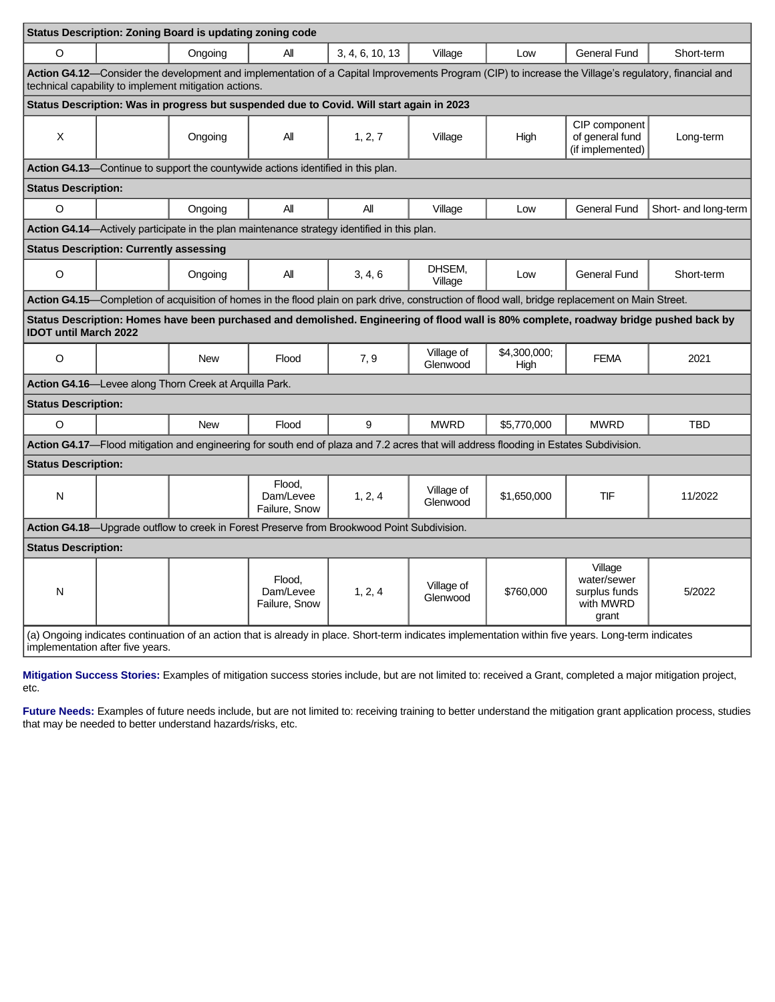|                                                                                                                                                                                          |                                                                                            | Status Description: Zoning Board is updating zoning code |                                                                                          |                                                                                             |                        |                      |                                                                                                                                                      |                                                                                                                                        |
|------------------------------------------------------------------------------------------------------------------------------------------------------------------------------------------|--------------------------------------------------------------------------------------------|----------------------------------------------------------|------------------------------------------------------------------------------------------|---------------------------------------------------------------------------------------------|------------------------|----------------------|------------------------------------------------------------------------------------------------------------------------------------------------------|----------------------------------------------------------------------------------------------------------------------------------------|
| $\circ$                                                                                                                                                                                  |                                                                                            | Ongoing                                                  | All                                                                                      | 3, 4, 6, 10, 13                                                                             | Village                | Low                  | General Fund                                                                                                                                         | Short-term                                                                                                                             |
|                                                                                                                                                                                          |                                                                                            | technical capability to implement mitigation actions.    |                                                                                          |                                                                                             |                        |                      | Action G4.12-Consider the development and implementation of a Capital Improvements Program (CIP) to increase the Village's regulatory, financial and |                                                                                                                                        |
|                                                                                                                                                                                          |                                                                                            |                                                          |                                                                                          | Status Description: Was in progress but suspended due to Covid. Will start again in 2023    |                        |                      |                                                                                                                                                      |                                                                                                                                        |
| X                                                                                                                                                                                        |                                                                                            | Ongoing                                                  | All                                                                                      | 1, 2, 7                                                                                     | Village                | High                 | CIP component<br>of general fund<br>(if implemented)                                                                                                 | Long-term                                                                                                                              |
|                                                                                                                                                                                          |                                                                                            |                                                          | <b>Action G4.13</b> —Continue to support the countywide actions identified in this plan. |                                                                                             |                        |                      |                                                                                                                                                      |                                                                                                                                        |
| <b>Status Description:</b>                                                                                                                                                               |                                                                                            |                                                          |                                                                                          |                                                                                             |                        |                      |                                                                                                                                                      |                                                                                                                                        |
| O                                                                                                                                                                                        |                                                                                            | Ongoing                                                  | All                                                                                      | All                                                                                         | Village                | Low                  | <b>General Fund</b>                                                                                                                                  | Short- and long-term                                                                                                                   |
|                                                                                                                                                                                          |                                                                                            |                                                          |                                                                                          | Action G4.14-Actively participate in the plan maintenance strategy identified in this plan. |                        |                      |                                                                                                                                                      |                                                                                                                                        |
|                                                                                                                                                                                          | <b>Status Description: Currently assessing</b>                                             |                                                          |                                                                                          |                                                                                             |                        |                      |                                                                                                                                                      |                                                                                                                                        |
| O                                                                                                                                                                                        |                                                                                            | Ongoing                                                  | All                                                                                      | 3, 4, 6                                                                                     | DHSEM,<br>Village      | Low                  | <b>General Fund</b>                                                                                                                                  | Short-term                                                                                                                             |
|                                                                                                                                                                                          |                                                                                            |                                                          |                                                                                          |                                                                                             |                        |                      | Action G4.15—Completion of acquisition of homes in the flood plain on park drive, construction of flood wall, bridge replacement on Main Street.     |                                                                                                                                        |
| <b>IDOT until March 2022</b>                                                                                                                                                             |                                                                                            |                                                          |                                                                                          |                                                                                             |                        |                      |                                                                                                                                                      | Status Description: Homes have been purchased and demolished. Engineering of flood wall is 80% complete, roadway bridge pushed back by |
| $\Omega$                                                                                                                                                                                 |                                                                                            | <b>New</b>                                               | Flood                                                                                    | 7,9                                                                                         | Village of<br>Glenwood | \$4,300,000;<br>High | <b>FEMA</b>                                                                                                                                          | 2021                                                                                                                                   |
|                                                                                                                                                                                          |                                                                                            | Action G4.16-Levee along Thorn Creek at Arquilla Park.   |                                                                                          |                                                                                             |                        |                      |                                                                                                                                                      |                                                                                                                                        |
| <b>Status Description:</b>                                                                                                                                                               |                                                                                            |                                                          |                                                                                          |                                                                                             |                        |                      |                                                                                                                                                      |                                                                                                                                        |
| $\Omega$                                                                                                                                                                                 |                                                                                            | <b>New</b>                                               | Flood                                                                                    | 9                                                                                           | <b>MWRD</b>            | \$5.770.000          | <b>MWRD</b>                                                                                                                                          | <b>TBD</b>                                                                                                                             |
| Action G4.17-Flood mitigation and engineering for south end of plaza and 7.2 acres that will address flooding in Estates Subdivision.                                                    |                                                                                            |                                                          |                                                                                          |                                                                                             |                        |                      |                                                                                                                                                      |                                                                                                                                        |
| <b>Status Description:</b>                                                                                                                                                               |                                                                                            |                                                          |                                                                                          |                                                                                             |                        |                      |                                                                                                                                                      |                                                                                                                                        |
| N                                                                                                                                                                                        |                                                                                            |                                                          | Flood.<br>Dam/Levee<br>Failure, Snow                                                     | 1, 2, 4                                                                                     | Village of<br>Glenwood | \$1,650,000          | TIF                                                                                                                                                  | 11/2022                                                                                                                                |
|                                                                                                                                                                                          | Action G4.18—Upgrade outflow to creek in Forest Preserve from Brookwood Point Subdivision. |                                                          |                                                                                          |                                                                                             |                        |                      |                                                                                                                                                      |                                                                                                                                        |
| <b>Status Description:</b>                                                                                                                                                               |                                                                                            |                                                          |                                                                                          |                                                                                             |                        |                      |                                                                                                                                                      |                                                                                                                                        |
| N                                                                                                                                                                                        |                                                                                            |                                                          | Flood.<br>Dam/Levee<br>Failure, Snow                                                     | 1, 2, 4                                                                                     | Village of<br>Glenwood | \$760,000            | Village<br>water/sewer<br>surplus funds<br>with MWRD<br>grant                                                                                        | 5/2022                                                                                                                                 |
| (a) Ongoing indicates continuation of an action that is already in place. Short-term indicates implementation within five years. Long-term indicates<br>implementation after five years. |                                                                                            |                                                          |                                                                                          |                                                                                             |                        |                      |                                                                                                                                                      |                                                                                                                                        |

**Mitigation Success Stories:** Examples of mitigation success stories include, but are not limited to: received a Grant, completed a major mitigation project, etc.

**Future Needs:** Examples of future needs include, but are not limited to: receiving training to better understand the mitigation grant application process, studies that may be needed to better understand hazards/risks, etc.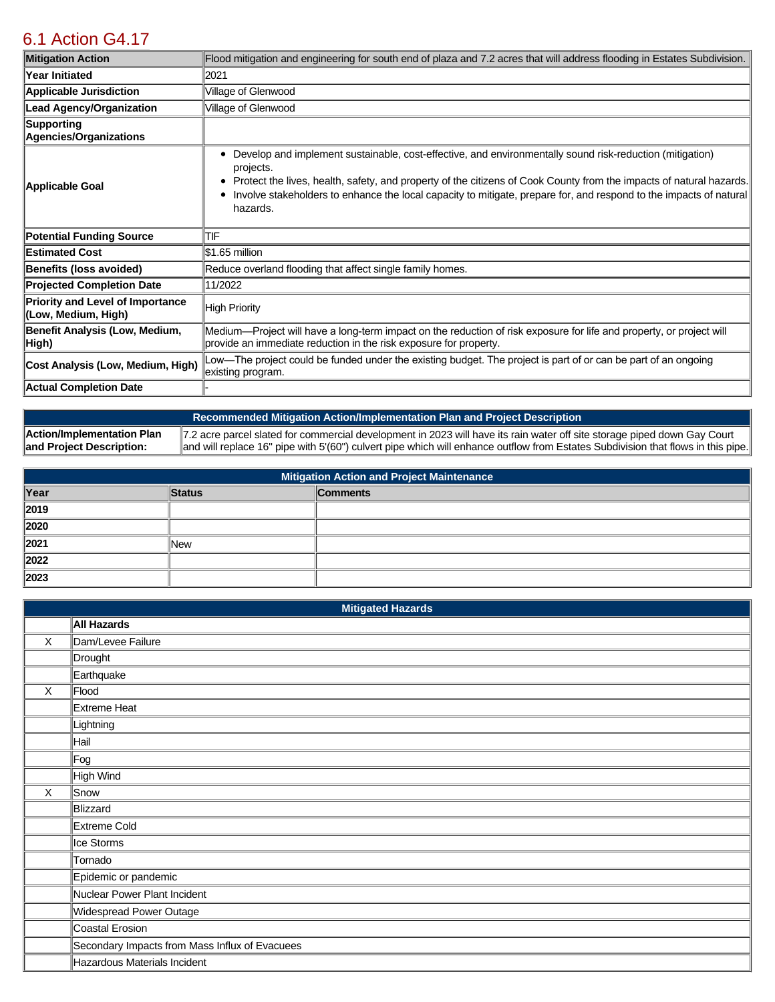# [6.1 Action G4.17](https://glenwood.isc-cemp.com/Cemp/Details?id=8342937)

| <b>Mitigation Action</b>                                       | Flood mitigation and engineering for south end of plaza and 7.2 acres that will address flooding in Estates Subdivision.                                                                                                                                                                                                                                                                      |
|----------------------------------------------------------------|-----------------------------------------------------------------------------------------------------------------------------------------------------------------------------------------------------------------------------------------------------------------------------------------------------------------------------------------------------------------------------------------------|
| <b>Year Initiated</b>                                          | 2021                                                                                                                                                                                                                                                                                                                                                                                          |
| Applicable Jurisdiction                                        | Village of Glenwood                                                                                                                                                                                                                                                                                                                                                                           |
| <b>Lead Agency/Organization</b>                                | Village of Glenwood                                                                                                                                                                                                                                                                                                                                                                           |
| Supporting<br>Agencies/Organizations                           |                                                                                                                                                                                                                                                                                                                                                                                               |
| Applicable Goal                                                | Develop and implement sustainable, cost-effective, and environmentally sound risk-reduction (mitigation)<br>٠<br>projects.<br>Protect the lives, health, safety, and property of the citizens of Cook County from the impacts of natural hazards.<br>٠<br>Involve stakeholders to enhance the local capacity to mitigate, prepare for, and respond to the impacts of natural<br>٠<br>hazards. |
| <b>Potential Funding Source</b>                                | TIF                                                                                                                                                                                                                                                                                                                                                                                           |
| <b>Estimated Cost</b>                                          | $$1.65$ million                                                                                                                                                                                                                                                                                                                                                                               |
| Benefits (loss avoided)                                        | Reduce overland flooding that affect single family homes.                                                                                                                                                                                                                                                                                                                                     |
| <b>Projected Completion Date</b>                               | 11/2022                                                                                                                                                                                                                                                                                                                                                                                       |
| <b>Priority and Level of Importance</b><br>(Low, Medium, High) | High Priority                                                                                                                                                                                                                                                                                                                                                                                 |
| Benefit Analysis (Low, Medium,<br>High)                        | Medium—Project will have a long-term impact on the reduction of risk exposure for life and property, or project will<br>provide an immediate reduction in the risk exposure for property.                                                                                                                                                                                                     |
| Cost Analysis (Low, Medium, High)                              | Low—The project could be funded under the existing budget. The project is part of or can be part of an ongoing<br>existing program.                                                                                                                                                                                                                                                           |
| Actual Completion Date                                         |                                                                                                                                                                                                                                                                                                                                                                                               |

**Recommended Mitigation Action/Implementation Plan and Project Description Action/Implementation Plan and Project Description:**  7.2 acre parcel slated for commercial development in 2023 will have its rain water off site storage piped down Gay Court and will replace 16" pipe with 5'(60") culvert pipe which will enhance outflow from Estates Subdivision that flows in this pipe.

| <b>Mitigation Action and Project Maintenance</b> |               |                 |  |
|--------------------------------------------------|---------------|-----------------|--|
| Year                                             | <b>Status</b> | <b>Comments</b> |  |
| 2019                                             |               |                 |  |
| 2020                                             |               |                 |  |
| 2021                                             | lNew          |                 |  |
| 2022                                             |               |                 |  |
| 2023                                             |               |                 |  |

|          | <b>Mitigated Hazards</b>                       |  |  |
|----------|------------------------------------------------|--|--|
|          | <b>All Hazards</b>                             |  |  |
| X        | Dam/Levee Failure                              |  |  |
|          | Drought                                        |  |  |
|          | Earthquake                                     |  |  |
| $\times$ | Flood                                          |  |  |
|          | Extreme Heat                                   |  |  |
|          | Lightning                                      |  |  |
|          | Hail                                           |  |  |
|          | Fog                                            |  |  |
|          | High Wind                                      |  |  |
| X        | Snow                                           |  |  |
|          | Blizzard                                       |  |  |
|          | Extreme Cold                                   |  |  |
|          | Ice Storms                                     |  |  |
|          | Tornado                                        |  |  |
|          | Epidemic or pandemic                           |  |  |
|          | Nuclear Power Plant Incident                   |  |  |
|          | Widespread Power Outage                        |  |  |
|          | Coastal Erosion                                |  |  |
|          | Secondary Impacts from Mass Influx of Evacuees |  |  |
|          | Hazardous Materials Incident                   |  |  |